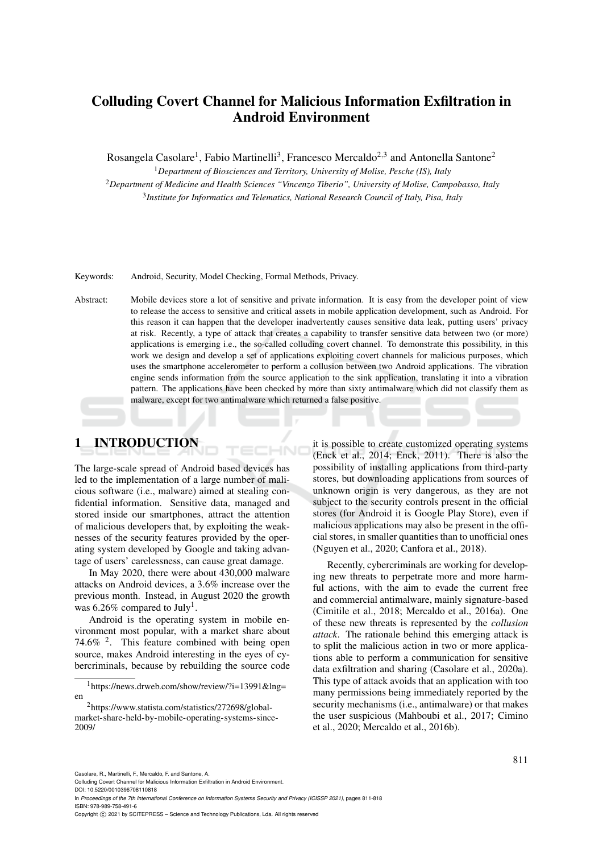# Colluding Covert Channel for Malicious Information Exfiltration in Android Environment

Rosangela Casolare<sup>1</sup>, Fabio Martinelli<sup>3</sup>, Francesco Mercaldo<sup>2,3</sup> and Antonella Santone<sup>2</sup>

<sup>1</sup>*Department of Biosciences and Territory, University of Molise, Pesche (IS), Italy* <sup>2</sup>*Department of Medicine and Health Sciences "Vincenzo Tiberio", University of Molise, Campobasso, Italy* 3 *Institute for Informatics and Telematics, National Research Council of Italy, Pisa, Italy*

#### Keywords: Android, Security, Model Checking, Formal Methods, Privacy.

Abstract: Mobile devices store a lot of sensitive and private information. It is easy from the developer point of view to release the access to sensitive and critical assets in mobile application development, such as Android. For this reason it can happen that the developer inadvertently causes sensitive data leak, putting users' privacy at risk. Recently, a type of attack that creates a capability to transfer sensitive data between two (or more) applications is emerging i.e., the so-called colluding covert channel. To demonstrate this possibility, in this work we design and develop a set of applications exploiting covert channels for malicious purposes, which uses the smartphone accelerometer to perform a collusion between two Android applications. The vibration engine sends information from the source application to the sink application, translating it into a vibration pattern. The applications have been checked by more than sixty antimalware which did not classify them as malware, except for two antimalware which returned a false positive.

# 1 INTRODUCTION

The large-scale spread of Android based devices has led to the implementation of a large number of malicious software (i.e., malware) aimed at stealing confidential information. Sensitive data, managed and stored inside our smartphones, attract the attention of malicious developers that, by exploiting the weaknesses of the security features provided by the operating system developed by Google and taking advantage of users' carelessness, can cause great damage.

In May 2020, there were about 430,000 malware attacks on Android devices, a 3.6% increase over the previous month. Instead, in August 2020 the growth was 6.26% compared to July<sup>1</sup>.

Android is the operating system in mobile environment most popular, with a market share about 74.6%  $2$ . This feature combined with being open source, makes Android interesting in the eyes of cybercriminals, because by rebuilding the source code it is possible to create customized operating systems (Enck et al., 2014; Enck, 2011). There is also the possibility of installing applications from third-party stores, but downloading applications from sources of unknown origin is very dangerous, as they are not subject to the security controls present in the official stores (for Android it is Google Play Store), even if malicious applications may also be present in the official stores, in smaller quantities than to unofficial ones (Nguyen et al., 2020; Canfora et al., 2018).

Recently, cybercriminals are working for developing new threats to perpetrate more and more harmful actions, with the aim to evade the current free and commercial antimalware, mainly signature-based (Cimitile et al., 2018; Mercaldo et al., 2016a). One of these new threats is represented by the *collusion attack*. The rationale behind this emerging attack is to split the malicious action in two or more applications able to perform a communication for sensitive data exfiltration and sharing (Casolare et al., 2020a). This type of attack avoids that an application with too many permissions being immediately reported by the security mechanisms (i.e., antimalware) or that makes the user suspicious (Mahboubi et al., 2017; Cimino et al., 2020; Mercaldo et al., 2016b).

Casolare, R., Martinelli, F., Mercaldo, F. and Santone, A.

Colluding Covert Channel for Malicious Information Exfiltration in Android Environment.

DOI: 10.5220/0010396708110818

In *Proceedings of the 7th International Conference on Information Systems Security and Privacy (ICISSP 2021)*, pages 811-818 ISBN: 978-989-758-491-6

Copyright © 2021 by SCITEPRESS - Science and Technology Publications, Lda. All rights reserved

 $1$ https://news.drweb.com/show/review/?i=13991&lng= en

<sup>2</sup>https://www.statista.com/statistics/272698/globalmarket-share-held-by-mobile-operating-systems-since-2009/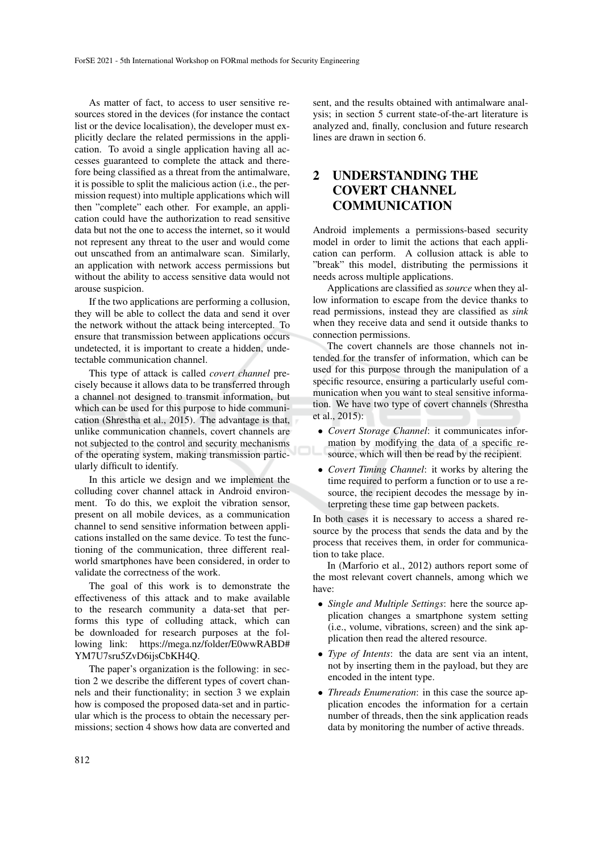As matter of fact, to access to user sensitive resources stored in the devices (for instance the contact list or the device localisation), the developer must explicitly declare the related permissions in the application. To avoid a single application having all accesses guaranteed to complete the attack and therefore being classified as a threat from the antimalware, it is possible to split the malicious action (i.e., the permission request) into multiple applications which will then "complete" each other. For example, an application could have the authorization to read sensitive data but not the one to access the internet, so it would not represent any threat to the user and would come out unscathed from an antimalware scan. Similarly, an application with network access permissions but without the ability to access sensitive data would not arouse suspicion.

If the two applications are performing a collusion, they will be able to collect the data and send it over the network without the attack being intercepted. To ensure that transmission between applications occurs undetected, it is important to create a hidden, undetectable communication channel.

This type of attack is called *covert channel* precisely because it allows data to be transferred through a channel not designed to transmit information, but which can be used for this purpose to hide communication (Shrestha et al., 2015). The advantage is that, unlike communication channels, covert channels are not subjected to the control and security mechanisms of the operating system, making transmission particularly difficult to identify.

In this article we design and we implement the colluding cover channel attack in Android environment. To do this, we exploit the vibration sensor, present on all mobile devices, as a communication channel to send sensitive information between applications installed on the same device. To test the functioning of the communication, three different realworld smartphones have been considered, in order to validate the correctness of the work.

The goal of this work is to demonstrate the effectiveness of this attack and to make available to the research community a data-set that performs this type of colluding attack, which can be downloaded for research purposes at the following link: https://mega.nz/folder/E0wwRABD# YM7U7sru5ZvD6ijsCbKH4Q.

The paper's organization is the following: in section 2 we describe the different types of covert channels and their functionality; in section 3 we explain how is composed the proposed data-set and in particular which is the process to obtain the necessary permissions; section 4 shows how data are converted and

sent, and the results obtained with antimalware analysis; in section 5 current state-of-the-art literature is analyzed and, finally, conclusion and future research lines are drawn in section 6.

## 2 UNDERSTANDING THE COVERT CHANNEL COMMUNICATION

Android implements a permissions-based security model in order to limit the actions that each application can perform. A collusion attack is able to "break" this model, distributing the permissions it needs across multiple applications.

Applications are classified as *source* when they allow information to escape from the device thanks to read permissions, instead they are classified as *sink* when they receive data and send it outside thanks to connection permissions.

The covert channels are those channels not intended for the transfer of information, which can be used for this purpose through the manipulation of a specific resource, ensuring a particularly useful communication when you want to steal sensitive information. We have two type of covert channels (Shrestha et al., 2015):

- *Covert Storage Channel*: it communicates information by modifying the data of a specific resource, which will then be read by the recipient.
- *Covert Timing Channel*: it works by altering the time required to perform a function or to use a resource, the recipient decodes the message by interpreting these time gap between packets.

In both cases it is necessary to access a shared resource by the process that sends the data and by the process that receives them, in order for communication to take place.

In (Marforio et al., 2012) authors report some of the most relevant covert channels, among which we have:

- *Single and Multiple Settings*: here the source application changes a smartphone system setting (i.e., volume, vibrations, screen) and the sink application then read the altered resource.
- *Type of Intents*: the data are sent via an intent, not by inserting them in the payload, but they are encoded in the intent type.
- *Threads Enumeration*: in this case the source application encodes the information for a certain number of threads, then the sink application reads data by monitoring the number of active threads.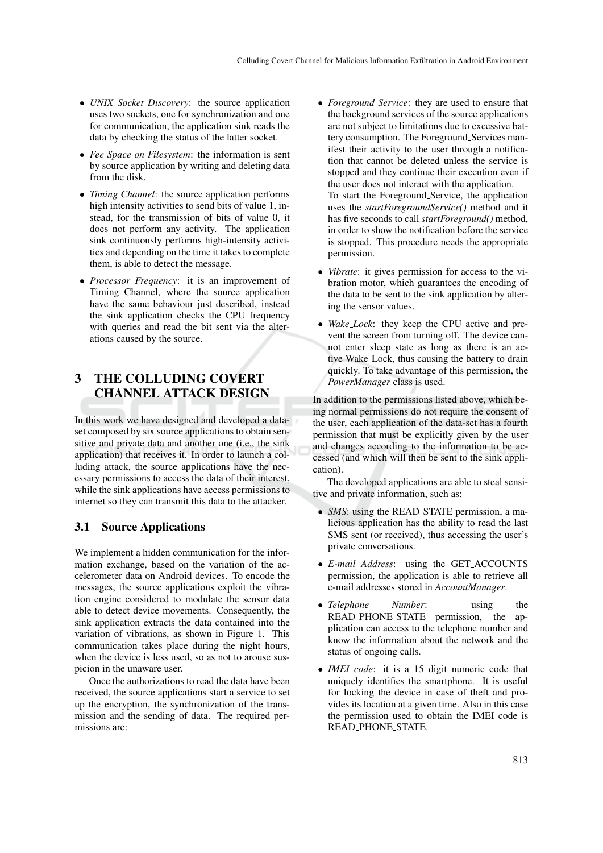- *UNIX Socket Discovery*: the source application uses two sockets, one for synchronization and one for communication, the application sink reads the data by checking the status of the latter socket.
- *Fee Space on Filesystem*: the information is sent by source application by writing and deleting data from the disk.
- *Timing Channel*: the source application performs high intensity activities to send bits of value 1, instead, for the transmission of bits of value 0, it does not perform any activity. The application sink continuously performs high-intensity activities and depending on the time it takes to complete them, is able to detect the message.
- *Processor Frequency*: it is an improvement of Timing Channel, where the source application have the same behaviour just described, instead the sink application checks the CPU frequency with queries and read the bit sent via the alterations caused by the source.

# 3 THE COLLUDING COVERT CHANNEL ATTACK DESIGN

In this work we have designed and developed a dataset composed by six source applications to obtain sensitive and private data and another one (i.e., the sink application) that receives it. In order to launch a colluding attack, the source applications have the necessary permissions to access the data of their interest, while the sink applications have access permissions to internet so they can transmit this data to the attacker.

### 3.1 Source Applications

We implement a hidden communication for the information exchange, based on the variation of the accelerometer data on Android devices. To encode the messages, the source applications exploit the vibration engine considered to modulate the sensor data able to detect device movements. Consequently, the sink application extracts the data contained into the variation of vibrations, as shown in Figure 1. This communication takes place during the night hours, when the device is less used, so as not to arouse suspicion in the unaware user.

Once the authorizations to read the data have been received, the source applications start a service to set up the encryption, the synchronization of the transmission and the sending of data. The required permissions are:

- *Foreground Service*: they are used to ensure that the background services of the source applications are not subject to limitations due to excessive battery consumption. The Foreground Services manifest their activity to the user through a notification that cannot be deleted unless the service is stopped and they continue their execution even if the user does not interact with the application. To start the Foreground Service, the application uses the *startForegroundService()* method and it has five seconds to call *startForeground()* method, in order to show the notification before the service is stopped. This procedure needs the appropriate permission.
- *Vibrate*: it gives permission for access to the vibration motor, which guarantees the encoding of the data to be sent to the sink application by altering the sensor values.
- *Wake Lock*: they keep the CPU active and prevent the screen from turning off. The device cannot enter sleep state as long as there is an active Wake Lock, thus causing the battery to drain quickly. To take advantage of this permission, the *PowerManager* class is used.

In addition to the permissions listed above, which being normal permissions do not require the consent of the user, each application of the data-set has a fourth permission that must be explicitly given by the user and changes according to the information to be accessed (and which will then be sent to the sink application).

The developed applications are able to steal sensitive and private information, such as:

- *SMS*: using the READ\_STATE permission, a malicious application has the ability to read the last SMS sent (or received), thus accessing the user's private conversations.
- *E-mail Address*: using the GET ACCOUNTS permission, the application is able to retrieve all e-mail addresses stored in *AccountManager*.
- *Telephone Number*: using the READ PHONE STATE permission, the application can access to the telephone number and know the information about the network and the status of ongoing calls.
- *IMEI code*: it is a 15 digit numeric code that uniquely identifies the smartphone. It is useful for locking the device in case of theft and provides its location at a given time. Also in this case the permission used to obtain the IMEI code is READ PHONE STATE.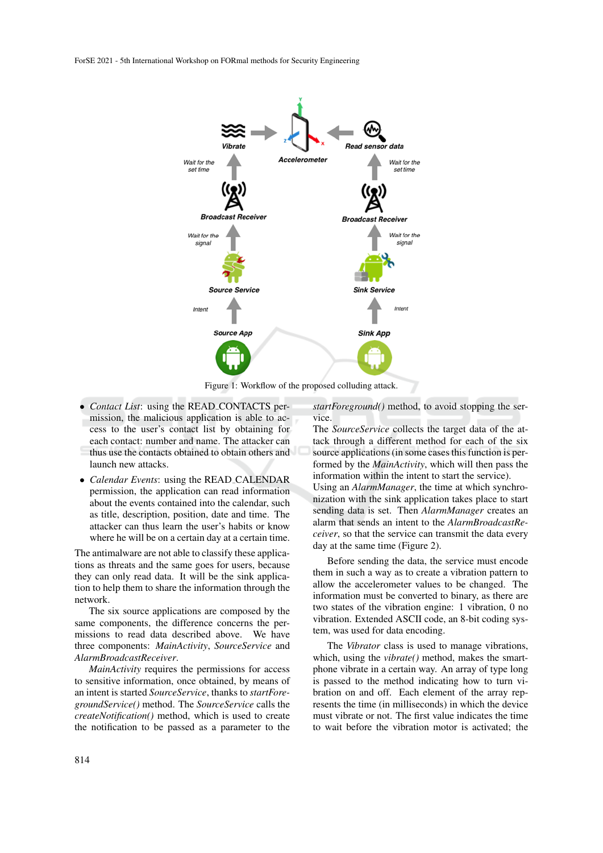

Figure 1: Workflow of the proposed colluding attack.

- *Contact List*: using the READ CONTACTS permission, the malicious application is able to access to the user's contact list by obtaining for each contact: number and name. The attacker can thus use the contacts obtained to obtain others and launch new attacks.
- *Calendar Events*: using the READ CALENDAR permission, the application can read information about the events contained into the calendar, such as title, description, position, date and time. The attacker can thus learn the user's habits or know where he will be on a certain day at a certain time.

The antimalware are not able to classify these applications as threats and the same goes for users, because they can only read data. It will be the sink application to help them to share the information through the network.

The six source applications are composed by the same components, the difference concerns the permissions to read data described above. We have three components: *MainActivity*, *SourceService* and *AlarmBroadcastReceiver*.

*MainActivity* requires the permissions for access to sensitive information, once obtained, by means of an intent is started *SourceService*, thanks to *startForegroundService()* method. The *SourceService* calls the *createNotification()* method, which is used to create the notification to be passed as a parameter to the

*startForeground()* method, to avoid stopping the service.

The *SourceService* collects the target data of the attack through a different method for each of the six source applications (in some cases this function is performed by the *MainActivity*, which will then pass the information within the intent to start the service). Using an *AlarmManager*, the time at which synchronization with the sink application takes place to start sending data is set. Then *AlarmManager* creates an alarm that sends an intent to the *AlarmBroadcastReceiver*, so that the service can transmit the data every day at the same time (Figure 2).

Before sending the data, the service must encode them in such a way as to create a vibration pattern to allow the accelerometer values to be changed. The information must be converted to binary, as there are two states of the vibration engine: 1 vibration, 0 no vibration. Extended ASCII code, an 8-bit coding system, was used for data encoding.

The *Vibrator* class is used to manage vibrations, which, using the *vibrate()* method, makes the smartphone vibrate in a certain way. An array of type long is passed to the method indicating how to turn vibration on and off. Each element of the array represents the time (in milliseconds) in which the device must vibrate or not. The first value indicates the time to wait before the vibration motor is activated; the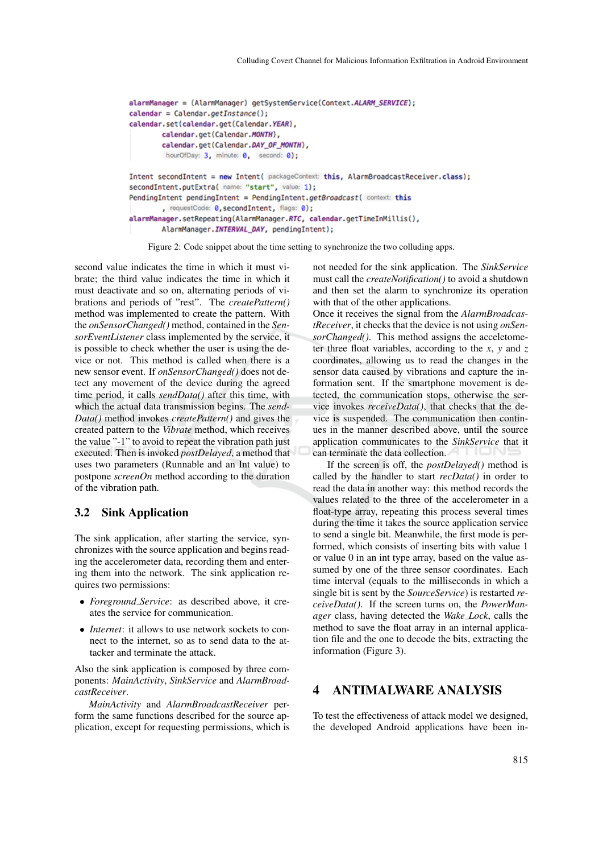```
alarmManager = (AlarmManager) getSystemService(Context.ALARM_SERVICE);
\text{calendar} = \text{Calendar}.getInstance();
calendar.set(calendar.get(Calendar.YEAR),
        calendar.get(Calendar.MONTH),
        calendar.get(Calendar.DAY_OF_MONTH),
         hourOfDay: 3, minute: 0, second: 0);
Intent secondIntent = new Intent( packageContext: this, AlarmBroadcastReceiver.class);
secondIntent.putExtra( name: "start", value: 1);
PendingIntent pendingIntent = PendingIntent.getBroadcast( context: this
        , requestCode: 0, secondIntent, flags: 0);
alarmManager.setRepeating(AlarmManager.RTC, calendar.getTimeInMillis(),
        AlarmManager. INTERVAL_DAY, pendingIntent);
```
Figure 2: Code snippet about the time setting to synchronize the two colluding apps.

second value indicates the time in which it must vibrate; the third value indicates the time in which it must deactivate and so on, alternating periods of vibrations and periods of "rest". The *createPattern()* method was implemented to create the pattern. With the *onSensorChanged()* method, contained in the *SensorEventListener* class implemented by the service, it is possible to check whether the user is using the device or not. This method is called when there is a new sensor event. If *onSensorChanged()* does not detect any movement of the device during the agreed time period, it calls *sendData()* after this time, with which the actual data transmission begins. The *send-Data()* method invokes *createPattern()* and gives the created pattern to the *Vibrate* method, which receives the value "-1" to avoid to repeat the vibration path just executed. Then is invoked *postDelayed*, a method that uses two parameters (Runnable and an Int value) to postpone *screenOn* method according to the duration of the vibration path.

#### 3.2 Sink Application

The sink application, after starting the service, synchronizes with the source application and begins reading the accelerometer data, recording them and entering them into the network. The sink application requires two permissions:

- *Foreground Service*: as described above, it creates the service for communication.
- *Internet*: it allows to use network sockets to connect to the internet, so as to send data to the attacker and terminate the attack.

Also the sink application is composed by three components: *MainActivity*, *SinkService* and *AlarmBroadcastReceiver*.

*MainActivity* and *AlarmBroadcastReceiver* perform the same functions described for the source application, except for requesting permissions, which is not needed for the sink application. The *SinkService* must call the *createNotification()* to avoid a shutdown and then set the alarm to synchronize its operation with that of the other applications.

Once it receives the signal from the *AlarmBroadcastReceiver*, it checks that the device is not using *onSensorChanged()*. This method assigns the acceletometer three float variables, according to the *x*, *y* and *z* coordinates, allowing us to read the changes in the sensor data caused by vibrations and capture the information sent. If the smartphone movement is detected, the communication stops, otherwise the service invokes *receiveData()*, that checks that the device is suspended. The communication then continues in the manner described above, until the source application communicates to the *SinkService* that it can terminate the data collection.

If the screen is off, the *postDelayed()* method is called by the handler to start *recData()* in order to read the data in another way: this method records the values related to the three of the accelerometer in a float-type array, repeating this process several times during the time it takes the source application service to send a single bit. Meanwhile, the first mode is performed, which consists of inserting bits with value 1 or value 0 in an int type array, based on the value assumed by one of the three sensor coordinates. Each time interval (equals to the milliseconds in which a single bit is sent by the *SourceService*) is restarted *receiveData()*. If the screen turns on, the *PowerManager* class, having detected the *Wake Lock*, calls the method to save the float array in an internal application file and the one to decode the bits, extracting the information (Figure 3).

## 4 ANTIMALWARE ANALYSIS

To test the effectiveness of attack model we designed, the developed Android applications have been in-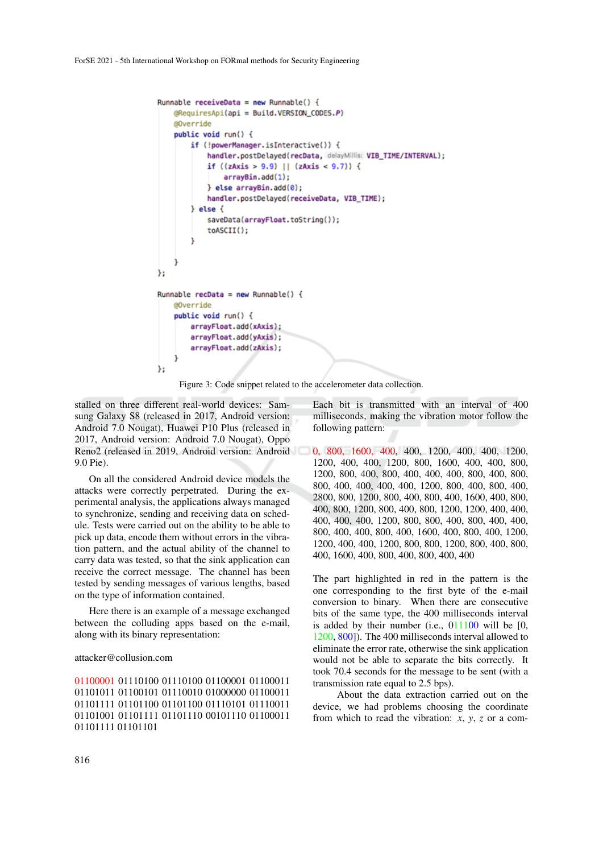```
Runnable receiveData = new Runnable() {
    @RequiresApi(api = Build.VERSION_CODES.P)
   @Override
   public void run() {
        if (!powerManager.isInteractive()) {
            handler.postDelayed(recData, delayMillis: VIB_TIME/INTERVAL);
            if ((zAxis > 9.9) || (zAxis < 9.7)) {
                arrayBin.add(1);
            \} else arrayBin.add(0);
            handler.postDelayed(receiveData, VIB_TIME);
        } else \{saveData(arrayFloat.toString());
            toASCII();
    J
}:
Runnable recData = new Runnable() {
   @Override
   public void run() {
        arrayFloat.add(xAxis);
        arrayFloat.add(yAxis);
        arrayFloat.add(zAxis);
};
```
Figure 3: Code snippet related to the accelerometer data collection.

stalled on three different real-world devices: Samsung Galaxy S8 (released in 2017, Android version: Android 7.0 Nougat), Huawei P10 Plus (released in 2017, Android version: Android 7.0 Nougat), Oppo Reno2 (released in 2019, Android version: Android 9.0 Pie).

On all the considered Android device models the attacks were correctly perpetrated. During the experimental analysis, the applications always managed to synchronize, sending and receiving data on schedule. Tests were carried out on the ability to be able to pick up data, encode them without errors in the vibration pattern, and the actual ability of the channel to carry data was tested, so that the sink application can receive the correct message. The channel has been tested by sending messages of various lengths, based on the type of information contained.

Here there is an example of a message exchanged between the colluding apps based on the e-mail, along with its binary representation:

#### attacker@collusion.com

01100001 01110100 01110100 01100001 01100011 01101011 01100101 01110010 01000000 01100011 01101111 01101100 01101100 01110101 01110011 01101001 01101111 01101110 00101110 01100011 01101111 01101101

Each bit is transmitted with an interval of 400 milliseconds, making the vibration motor follow the following pattern:

0, 800, 1600, 400, 400, 1200, 400, 400, 1200, 1200, 400, 400, 1200, 800, 1600, 400, 400, 800, 1200, 800, 400, 800, 400, 400, 400, 800, 400, 800, 800, 400, 400, 400, 400, 1200, 800, 400, 800, 400, 2800, 800, 1200, 800, 400, 800, 400, 1600, 400, 800, 400, 800, 1200, 800, 400, 800, 1200, 1200, 400, 400, 400, 400, 400, 1200, 800, 800, 400, 800, 400, 400, 800, 400, 400, 800, 400, 1600, 400, 800, 400, 1200, 1200, 400, 400, 1200, 800, 800, 1200, 800, 400, 800, 400, 1600, 400, 800, 400, 800, 400, 400

The part highlighted in red in the pattern is the one corresponding to the first byte of the e-mail conversion to binary. When there are consecutive bits of the same type, the 400 milliseconds interval is added by their number (i.e.,  $011100$  will be [0, 1200, 800]). The 400 milliseconds interval allowed to eliminate the error rate, otherwise the sink application would not be able to separate the bits correctly. It took 70.4 seconds for the message to be sent (with a transmission rate equal to 2.5 bps).

About the data extraction carried out on the device, we had problems choosing the coordinate from which to read the vibration: *x*, *y*, *z* or a com-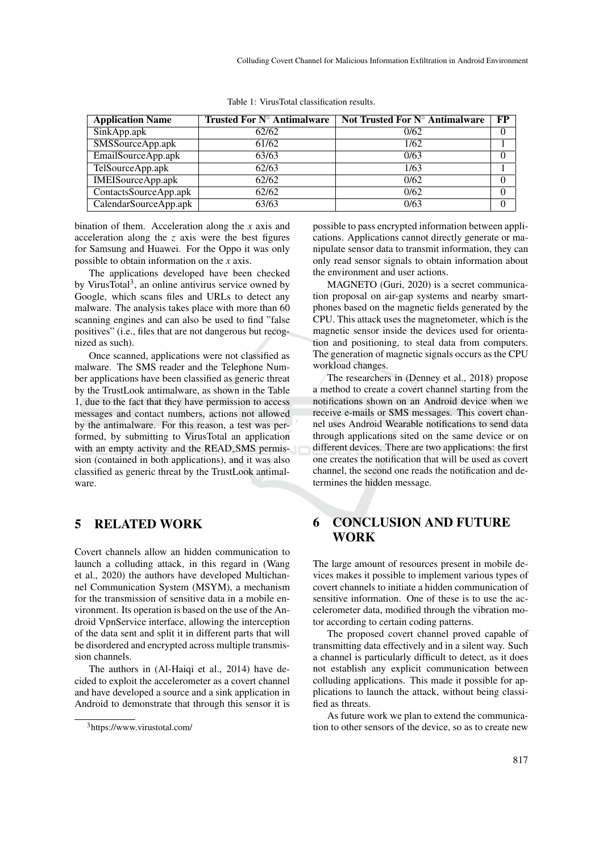| <b>Application Name</b> | Trusted For $N^{\circ}$ Antimalware | Not Trusted For $N^{\circ}$ Antimalware | FP |
|-------------------------|-------------------------------------|-----------------------------------------|----|
| SinkApp.apk             | 62/62                               | 0/62                                    |    |
| SMSSourceApp.apk        | 61/62                               | 1/62                                    |    |
| EmailSourceApp.apk      | 63/63                               | 0/63                                    |    |
| TelSourceApp.apk        | 62/63                               | 1/63                                    |    |
| IMEISourceApp.apk       | 62/62                               | 0/62                                    |    |
| ContactsSourceApp.apk   | 62/62                               | 0/62                                    |    |
| CalendarSourceApp.apk   | 63/63                               | 0/63                                    |    |

Table 1: VirusTotal classification results.

bination of them. Acceleration along the *x* axis and acceleration along the *z* axis were the best figures for Samsung and Huawei. For the Oppo it was only possible to obtain information on the *x* axis.

The applications developed have been checked by VirusTotal<sup>3</sup>, an online antivirus service owned by Google, which scans files and URLs to detect any malware. The analysis takes place with more than 60 scanning engines and can also be used to find "false positives" (i.e., files that are not dangerous but recognized as such).

Once scanned, applications were not classified as malware. The SMS reader and the Telephone Number applications have been classified as generic threat by the TrustLook antimalware, as shown in the Table 1, due to the fact that they have permission to access messages and contact numbers, actions not allowed by the antimalware. For this reason, a test was performed, by submitting to VirusTotal an application with an empty activity and the READ SMS permission (contained in both applications), and it was also classified as generic threat by the TrustLook antimalware.

# 5 RELATED WORK

Covert channels allow an hidden communication to launch a colluding attack, in this regard in (Wang et al., 2020) the authors have developed Multichannel Communication System (MSYM), a mechanism for the transmission of sensitive data in a mobile environment. Its operation is based on the use of the Android VpnService interface, allowing the interception of the data sent and split it in different parts that will be disordered and encrypted across multiple transmission channels.

The authors in (Al-Haiqi et al., 2014) have decided to exploit the accelerometer as a covert channel and have developed a source and a sink application in Android to demonstrate that through this sensor it is

possible to pass encrypted information between applications. Applications cannot directly generate or manipulate sensor data to transmit information, they can only read sensor signals to obtain information about the environment and user actions.

MAGNETO (Guri, 2020) is a secret communication proposal on air-gap systems and nearby smartphones based on the magnetic fields generated by the CPU. This attack uses the magnetometer, which is the magnetic sensor inside the devices used for orientation and positioning, to steal data from computers. The generation of magnetic signals occurs as the CPU workload changes.

The researchers in (Denney et al., 2018) propose a method to create a covert channel starting from the notifications shown on an Android device when we receive e-mails or SMS messages. This covert channel uses Android Wearable notifications to send data through applications sited on the same device or on different devices. There are two applications: the first one creates the notification that will be used as covert channel, the second one reads the notification and determines the hidden message.

## 6 CONCLUSION AND FUTURE **WORK**

The large amount of resources present in mobile devices makes it possible to implement various types of covert channels to initiate a hidden communication of sensitive information. One of these is to use the accelerometer data, modified through the vibration motor according to certain coding patterns.

The proposed covert channel proved capable of transmitting data effectively and in a silent way. Such a channel is particularly difficult to detect, as it does not establish any explicit communication between colluding applications. This made it possible for applications to launch the attack, without being classified as threats.

As future work we plan to extend the communication to other sensors of the device, so as to create new

<sup>3</sup>https://www.virustotal.com/